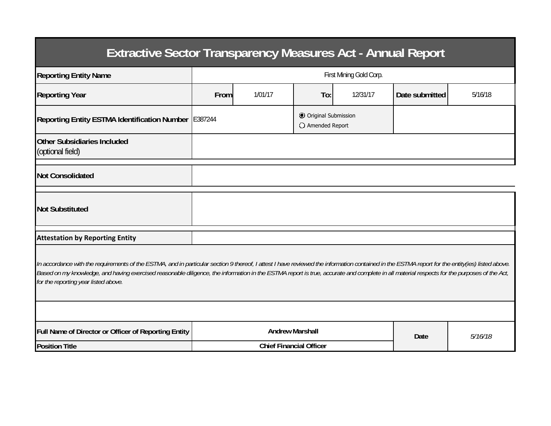| <b>Extractive Sector Transparency Measures Act - Annual Report</b>                                                                                                                                                                                                                                                                                                                                                                    |                         |                                |                                           |  |                |         |  |  |  |  |
|---------------------------------------------------------------------------------------------------------------------------------------------------------------------------------------------------------------------------------------------------------------------------------------------------------------------------------------------------------------------------------------------------------------------------------------|-------------------------|--------------------------------|-------------------------------------------|--|----------------|---------|--|--|--|--|
| <b>Reporting Entity Name</b>                                                                                                                                                                                                                                                                                                                                                                                                          | First Mining Gold Corp. |                                |                                           |  |                |         |  |  |  |  |
| <b>Reporting Year</b>                                                                                                                                                                                                                                                                                                                                                                                                                 | From                    | 1/01/17                        | To:<br>12/31/17                           |  | Date submitted | 5/16/18 |  |  |  |  |
| Reporting Entity ESTMA Identification Number E387244                                                                                                                                                                                                                                                                                                                                                                                  |                         |                                | © Original Submission<br>O Amended Report |  |                |         |  |  |  |  |
| <b>Other Subsidiaries Included</b><br>(optional field)                                                                                                                                                                                                                                                                                                                                                                                |                         |                                |                                           |  |                |         |  |  |  |  |
| <b>Not Consolidated</b>                                                                                                                                                                                                                                                                                                                                                                                                               |                         |                                |                                           |  |                |         |  |  |  |  |
| <b>Not Substituted</b>                                                                                                                                                                                                                                                                                                                                                                                                                |                         |                                |                                           |  |                |         |  |  |  |  |
| <b>Attestation by Reporting Entity</b>                                                                                                                                                                                                                                                                                                                                                                                                |                         |                                |                                           |  |                |         |  |  |  |  |
| In accordance with the requirements of the ESTMA, and in particular section 9 thereof, I attest I have reviewed the information contained in the ESTMA report for the entity(ies) listed above.<br>Based on my knowledge, and having exercised reasonable diligence, the information in the ESTMA report is true, accurate and complete in all material respects for the purposes of the Act,<br>for the reporting year listed above. |                         |                                |                                           |  |                |         |  |  |  |  |
|                                                                                                                                                                                                                                                                                                                                                                                                                                       |                         |                                |                                           |  |                |         |  |  |  |  |
| Full Name of Director or Officer of Reporting Entity                                                                                                                                                                                                                                                                                                                                                                                  |                         | <b>Andrew Marshall</b>         |                                           |  | Date           | 5/16/18 |  |  |  |  |
| <b>Position Title</b>                                                                                                                                                                                                                                                                                                                                                                                                                 |                         | <b>Chief Financial Officer</b> |                                           |  |                |         |  |  |  |  |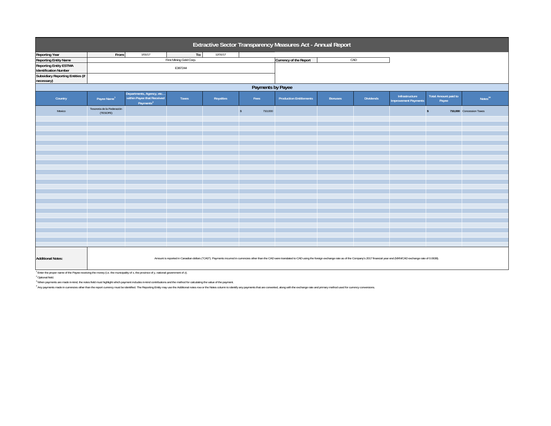| <b>Reporting Year</b>                           | From:                                                                                                                                                                                                                                                                                                                                                                            |                                                                                 | Extractive Sector Transparency Measures Act - Annual Report |           |                       |                                |                |                  |                                               |                                      |                          |  |  |  |
|-------------------------------------------------|----------------------------------------------------------------------------------------------------------------------------------------------------------------------------------------------------------------------------------------------------------------------------------------------------------------------------------------------------------------------------------|---------------------------------------------------------------------------------|-------------------------------------------------------------|-----------|-----------------------|--------------------------------|----------------|------------------|-----------------------------------------------|--------------------------------------|--------------------------|--|--|--|
|                                                 |                                                                                                                                                                                                                                                                                                                                                                                  | 1/01/17                                                                         | To:                                                         | 12/31/17  |                       |                                |                |                  |                                               |                                      |                          |  |  |  |
| <b>Reporting Entity Name</b>                    |                                                                                                                                                                                                                                                                                                                                                                                  |                                                                                 | First Mining Gold Corp.                                     |           |                       | Currency of the Report         | CAD            |                  |                                               |                                      |                          |  |  |  |
| <b>Reporting Entity ESTMA</b>                   |                                                                                                                                                                                                                                                                                                                                                                                  |                                                                                 |                                                             |           |                       |                                |                |                  |                                               |                                      |                          |  |  |  |
| <b>Identification Number</b>                    |                                                                                                                                                                                                                                                                                                                                                                                  |                                                                                 | E387244                                                     |           |                       |                                |                |                  |                                               |                                      |                          |  |  |  |
| Subsidiary Reporting Entities (if<br>necessary) |                                                                                                                                                                                                                                                                                                                                                                                  |                                                                                 |                                                             |           |                       |                                |                |                  |                                               |                                      |                          |  |  |  |
| Payments by Payee                               |                                                                                                                                                                                                                                                                                                                                                                                  |                                                                                 |                                                             |           |                       |                                |                |                  |                                               |                                      |                          |  |  |  |
| Country                                         | Payee Name <sup>1</sup>                                                                                                                                                                                                                                                                                                                                                          | Departments, Agency, etc<br>within Payee that Received<br>Payments <sup>2</sup> | Taxes                                                       | Royalties | Fees                  | <b>Production Entitlements</b> | <b>Bonuses</b> | <b>Dividends</b> | Infrastructure<br><b>Improvement Payments</b> | <b>Total Amount paid to</b><br>Payee | Notes <sup>34</sup>      |  |  |  |
| Mexico                                          | Tesoreria de la Federación<br>(TESOFE)                                                                                                                                                                                                                                                                                                                                           |                                                                                 |                                                             |           | $\sqrt{s}$<br>710,000 |                                |                |                  |                                               | $\mathsf{s}$                         | 710,000 Concession Taxes |  |  |  |
|                                                 |                                                                                                                                                                                                                                                                                                                                                                                  |                                                                                 |                                                             |           |                       |                                |                |                  |                                               |                                      |                          |  |  |  |
|                                                 |                                                                                                                                                                                                                                                                                                                                                                                  |                                                                                 |                                                             |           |                       |                                |                |                  |                                               |                                      |                          |  |  |  |
|                                                 |                                                                                                                                                                                                                                                                                                                                                                                  |                                                                                 |                                                             |           |                       |                                |                |                  |                                               |                                      |                          |  |  |  |
|                                                 |                                                                                                                                                                                                                                                                                                                                                                                  |                                                                                 |                                                             |           |                       |                                |                |                  |                                               |                                      |                          |  |  |  |
|                                                 |                                                                                                                                                                                                                                                                                                                                                                                  |                                                                                 |                                                             |           |                       |                                |                |                  |                                               |                                      |                          |  |  |  |
|                                                 |                                                                                                                                                                                                                                                                                                                                                                                  |                                                                                 |                                                             |           |                       |                                |                |                  |                                               |                                      |                          |  |  |  |
|                                                 |                                                                                                                                                                                                                                                                                                                                                                                  |                                                                                 |                                                             |           |                       |                                |                |                  |                                               |                                      |                          |  |  |  |
|                                                 |                                                                                                                                                                                                                                                                                                                                                                                  |                                                                                 |                                                             |           |                       |                                |                |                  |                                               |                                      |                          |  |  |  |
|                                                 |                                                                                                                                                                                                                                                                                                                                                                                  |                                                                                 |                                                             |           |                       |                                |                |                  |                                               |                                      |                          |  |  |  |
|                                                 |                                                                                                                                                                                                                                                                                                                                                                                  |                                                                                 |                                                             |           |                       |                                |                |                  |                                               |                                      |                          |  |  |  |
|                                                 |                                                                                                                                                                                                                                                                                                                                                                                  |                                                                                 |                                                             |           |                       |                                |                |                  |                                               |                                      |                          |  |  |  |
|                                                 |                                                                                                                                                                                                                                                                                                                                                                                  |                                                                                 |                                                             |           |                       |                                |                |                  |                                               |                                      |                          |  |  |  |
|                                                 |                                                                                                                                                                                                                                                                                                                                                                                  |                                                                                 |                                                             |           |                       |                                |                |                  |                                               |                                      |                          |  |  |  |
|                                                 |                                                                                                                                                                                                                                                                                                                                                                                  |                                                                                 |                                                             |           |                       |                                |                |                  |                                               |                                      |                          |  |  |  |
|                                                 |                                                                                                                                                                                                                                                                                                                                                                                  |                                                                                 |                                                             |           |                       |                                |                |                  |                                               |                                      |                          |  |  |  |
|                                                 |                                                                                                                                                                                                                                                                                                                                                                                  |                                                                                 |                                                             |           |                       |                                |                |                  |                                               |                                      |                          |  |  |  |
|                                                 |                                                                                                                                                                                                                                                                                                                                                                                  |                                                                                 |                                                             |           |                       |                                |                |                  |                                               |                                      |                          |  |  |  |
|                                                 |                                                                                                                                                                                                                                                                                                                                                                                  |                                                                                 |                                                             |           |                       |                                |                |                  |                                               |                                      |                          |  |  |  |
|                                                 |                                                                                                                                                                                                                                                                                                                                                                                  |                                                                                 |                                                             |           |                       |                                |                |                  |                                               |                                      |                          |  |  |  |
|                                                 |                                                                                                                                                                                                                                                                                                                                                                                  |                                                                                 |                                                             |           |                       |                                |                |                  |                                               |                                      |                          |  |  |  |
|                                                 |                                                                                                                                                                                                                                                                                                                                                                                  |                                                                                 |                                                             |           |                       |                                |                |                  |                                               |                                      |                          |  |  |  |
|                                                 |                                                                                                                                                                                                                                                                                                                                                                                  |                                                                                 |                                                             |           |                       |                                |                |                  |                                               |                                      |                          |  |  |  |
|                                                 |                                                                                                                                                                                                                                                                                                                                                                                  |                                                                                 |                                                             |           |                       |                                |                |                  |                                               |                                      |                          |  |  |  |
| <b>Additional Notes:</b>                        | Amount is reported in Canadian dollars ("CAD"). Payments incurred in currencies other than the CAD were translated to CAD using the foreign exchange rate as of the Company's 2017 financial year end (MXN/CAD exchange rate o<br><sup>1</sup> Enter the proper name of the Payee receiving the money (i.e. the municipality of x, the province of y, national government of z). |                                                                                 |                                                             |           |                       |                                |                |                  |                                               |                                      |                          |  |  |  |

2 Optional field.

<sup>3</sup> When payments are made in-kind, the notes field must highlight which payment includes in-kind contributions and the method for calculating the value of the payment.

4 Any payments made in currencies other than the report currency must be identified. The Reporting Enity may use the Additional notes row or the Notes column to identify any payments that are converted, along with the exch